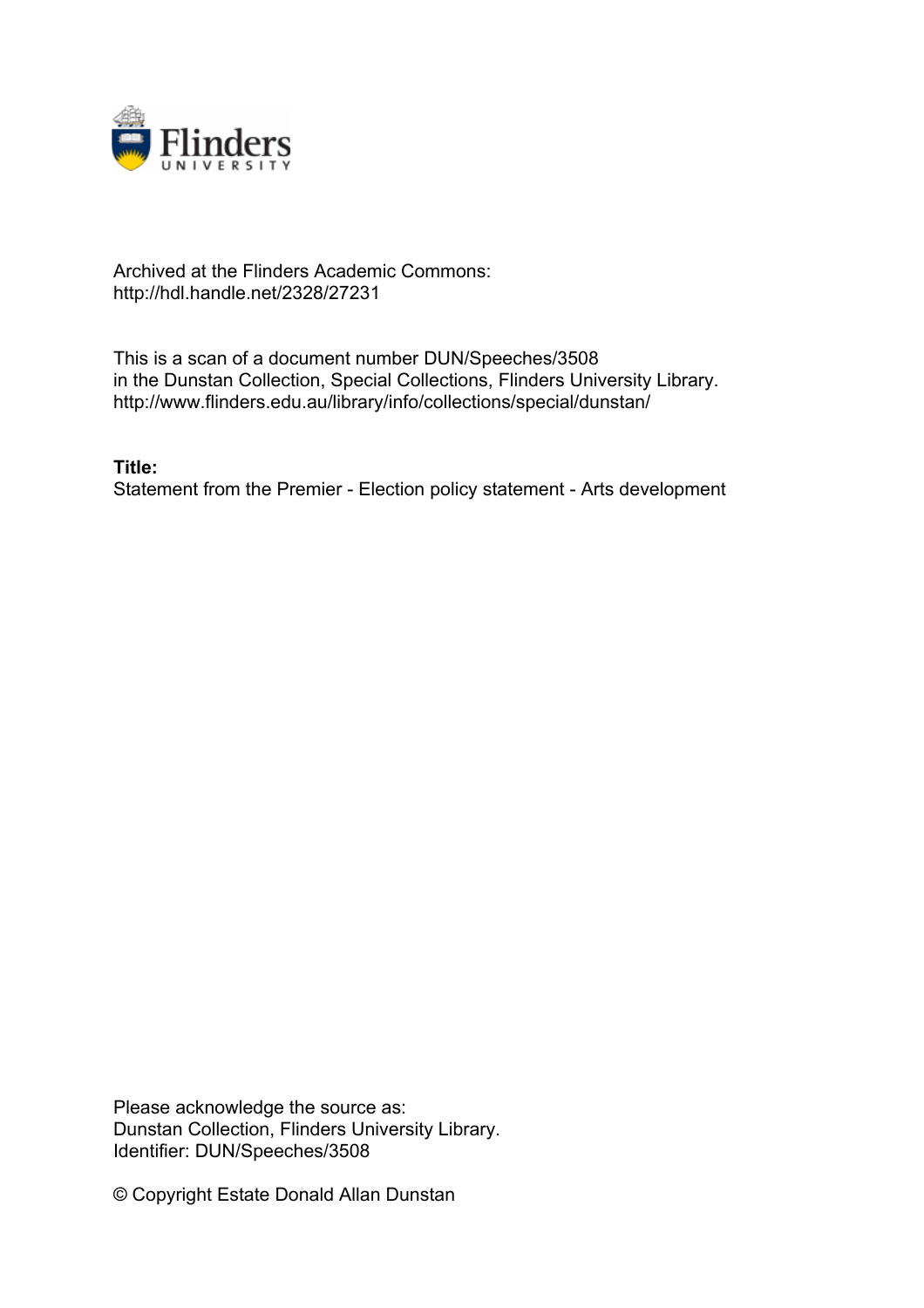

# Archived at the Flinders Academic Commons: http://hdl.handle.net/2328/27231

This is a scan of a document number DUN/Speeches/3508 in the Dunstan Collection, Special Collections, Flinders University Library. http://www.flinders.edu.au/library/info/collections/special/dunstan/

**Title:**

Statement from the Premier - Election policy statement - Arts development

Please acknowledge the source as: Dunstan Collection, Flinders University Library. Identifier: DUN/Speeches/3508

© Copyright Estate Donald Allan Dunstan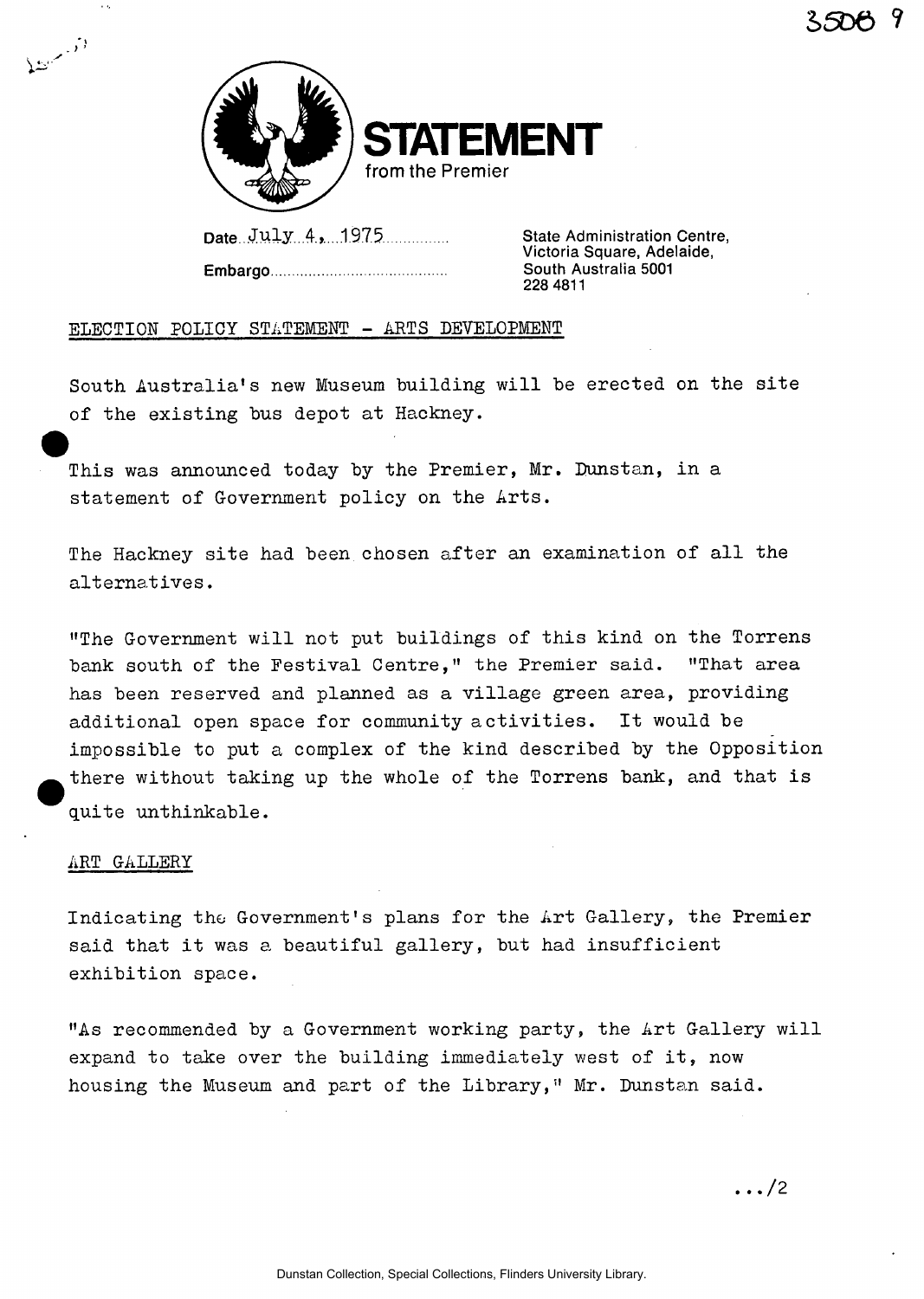

Date July 4, 1975 State Administration Centre,

**STEMENT** 

**Embargo South Australia 5001** 

**Victoria Square, Adelaide, 228 4811** 

## ELECTION POLICY STATEMENT - ARTS DEVELOPMENT

South Australia's new Museum building will be erected on the site of the existing bus depot at Hackney.

This was announced today by the Premier, Mr. Bunstan, in a statement of Government policy on the Arts.

The Hackney site had been chosen after an examination of all the alternatives.

"The Government will not put buildings of this kind on the Torrens bank south of the Festival Centre," the Premier said. "That area has been reserved and planned as a village green area, providing additional open space for community activities. It would be impossible to put a complex of the kind described by the Opposition there without taking up the whole of the Torrens bank, and that is quite unthinkable.

#### ART GALLERY

.<br>اگر مسئطانی

 $\sim$   $\epsilon$ 

Indicating the Government's plans for the Art Gallery, the Premier said that it was a beautiful gallery, but had insufficient exhibition space.

"As recommended by a Government working party, the Art Gallery will expand to take over the building immediately west of it, now housing the Museum and part of the Library," Mr. Dunstan said.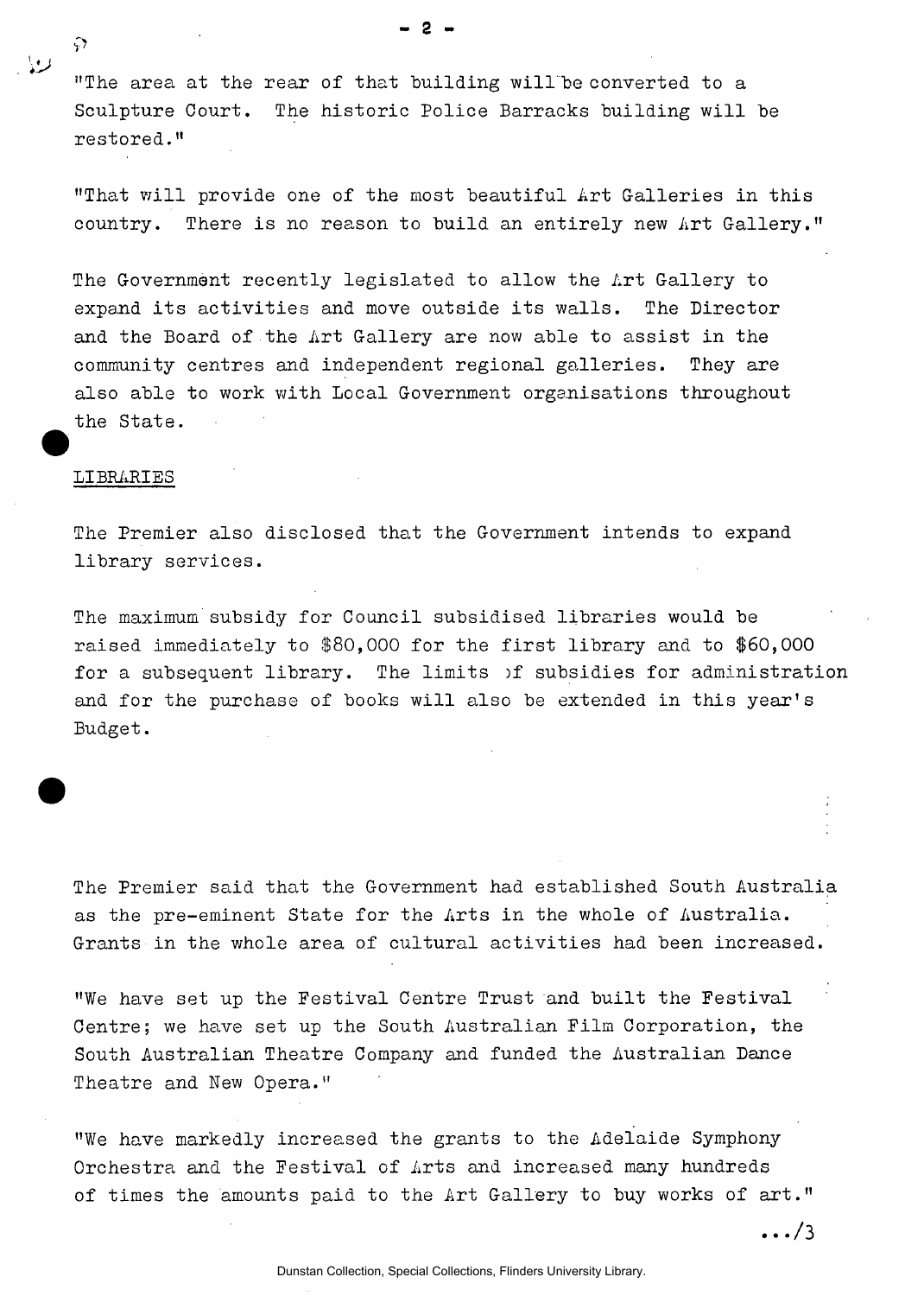"The area at the rear of that building will "be converted to a Sculpture Court. The historic Police Barracks building will be restored."

"That will provide one of the most beautiful Art Galleries in this country. There is no reason to build an entirely new Art Gallery."

The Government recently legislated to allow the Art Gallery to expand its activities and move outside its walls. The Director and the Board of the Art Gallery are now able to assist in the community centres and independent regional galleries. They are also able to work with Local Government organisations throughout the State.

### LIBRARIES

 $\zeta$ 

المدايا

The Premier also disclosed that the Government intends to expand library services.

The maximum subsidy for Council subsidised libraries would be raised immediately to \$80,000 for the first library and to \$60,000 for a subsequent library. The limits of subsidies for administration and for the purchase of books will also be extended in this year's Budget.

The Premier said that the Government had established South Australia as the pre-eminent State for the Arts in the whole of Australia. Grants in the whole area of cultural activities had been increased.

"We have set up the Festival Centre Trust and built the Festival Centre; we have set up the South Australian Film Corporation, the South Australian Theatre Company and funded the Australian Dance Theatre and New Opera."

"We have markedly increased the grants to the Adelaide Symphony Orchestra and the Festival of Arts and increased many hundreds of times the amounts paid to the Art Gallery to buy works of art."

 $- 2 -$